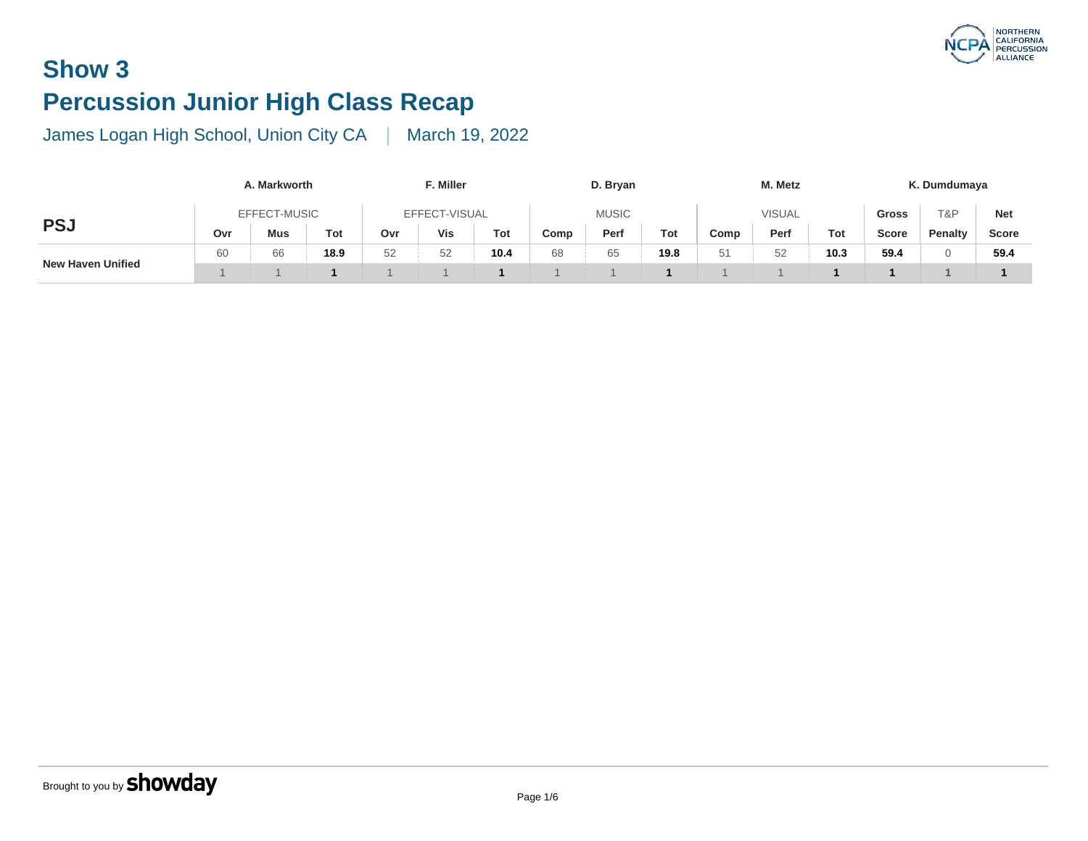# **Show 3 Percussion Junior High Class Recap**

|                          | A. Markworth |            |      |               | F. Miller |      |      | D. Bryan     | M. Metz |               |      |      |  |
|--------------------------|--------------|------------|------|---------------|-----------|------|------|--------------|---------|---------------|------|------|--|
|                          | EFFECT-MUSIC |            |      | EFFECT-VISUAL |           |      |      | <b>MUSIC</b> |         | <b>VISUAL</b> |      |      |  |
| <b>PSJ</b>               | Ovr          | <b>Mus</b> | Tot  | Ovr           | Vis       | Tot  | Comp | Perf         | Tot     | Comp          | Perf | To.  |  |
|                          | 60           | 66         | 18.9 | 52            | 52        | 10.4 | 68   | 65           | 19.8    | 51            | 52   | 10.1 |  |
| <b>New Haven Unified</b> |              |            |      |               |           |      |      |              |         |               |      |      |  |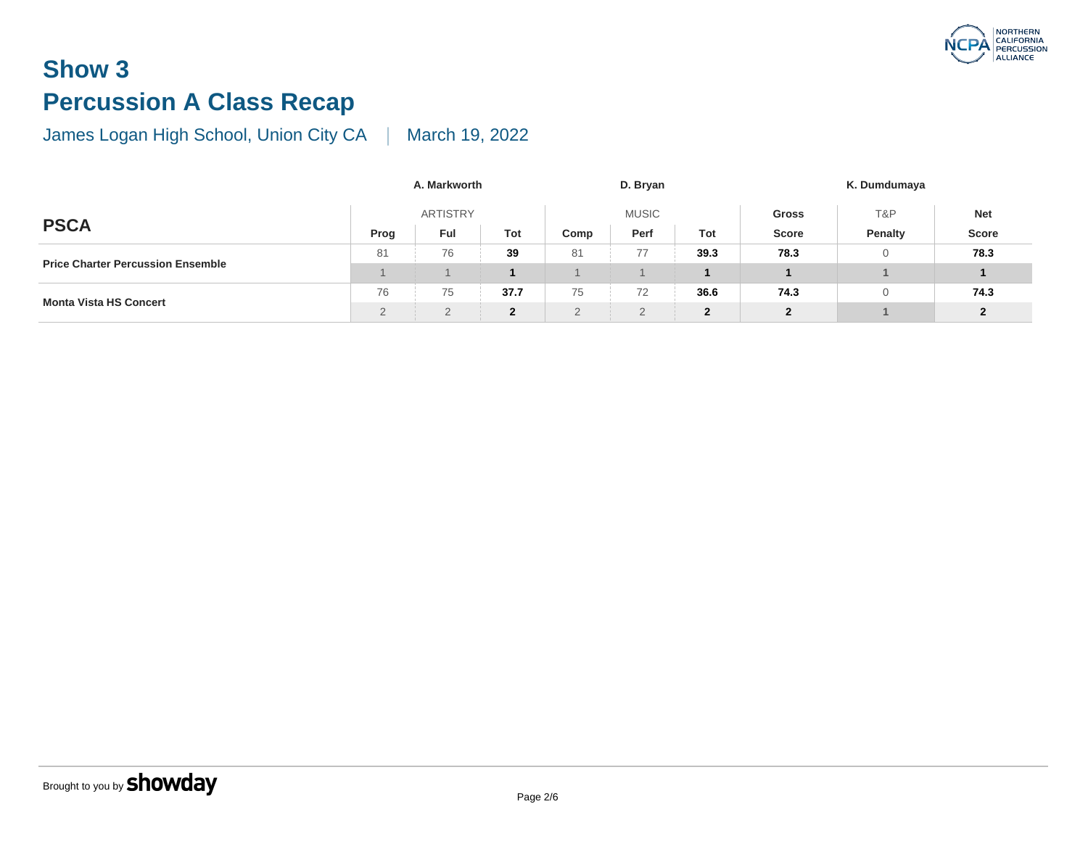# **Show 3 Percussion A Class Recap**

|                                          |               | A. Markworth |              |      | D. Bryan     |              |                |
|------------------------------------------|---------------|--------------|--------------|------|--------------|--------------|----------------|
|                                          |               | ARTISTRY     |              |      | <b>MUSIC</b> | <b>Gross</b> |                |
| <b>PSCA</b>                              | Prog          | Ful          | Tot          | Comp | Perf         | Tot          | <b>Score</b>   |
|                                          | 81            | 76           | 39           | 81   | 77           | 39.3         | 78.3           |
| <b>Price Charter Percussion Ensemble</b> |               |              |              |      |              |              |                |
| <b>Monta Vista HS Concert</b>            | 76            | 75           | 37.7         | 75   | 72           | 36.6         | 74.3           |
|                                          | $\mathcal{D}$ | $\Omega$     | $\mathbf{2}$ | 2    | $\Omega$     | $\mathbf{2}$ | $\overline{2}$ |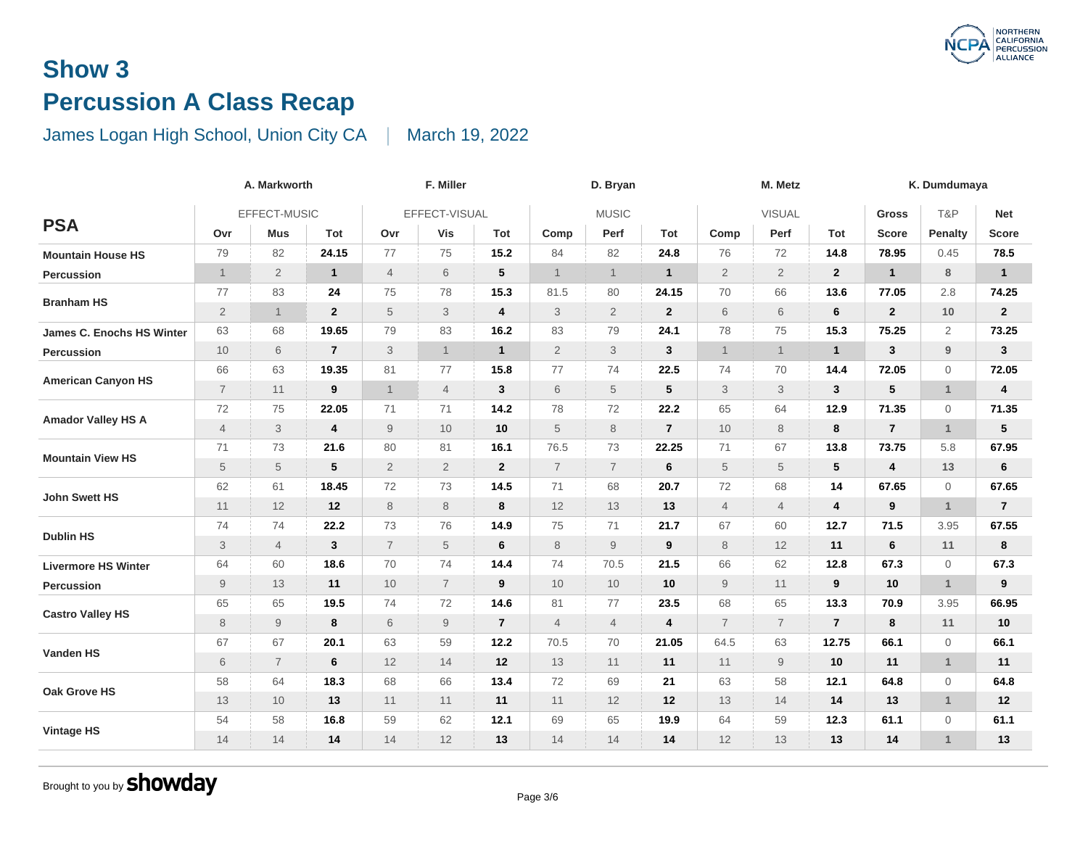# **Show 3 Percussion A Class Recap**

#### James Logan High School, Union City CA | March 19, 2022

|                            | A. Markworth   |                           |                  |                | F. Miller      |                 |                           | D. Bryan       | M. Metz          |                |                |                         |  |
|----------------------------|----------------|---------------------------|------------------|----------------|----------------|-----------------|---------------------------|----------------|------------------|----------------|----------------|-------------------------|--|
|                            | EFFECT-MUSIC   |                           |                  |                | EFFECT-VISUAL  |                 |                           | <b>MUSIC</b>   |                  | <b>VISUAL</b>  |                |                         |  |
| <b>PSA</b>                 | Ovr            | <b>Mus</b>                | Tot              | Ovr            | <b>Vis</b>     | Tot             | Comp                      | Perf           | Tot              | Comp           | Perf           | To                      |  |
| <b>Mountain House HS</b>   | 79             | 82                        | 24.15            | 77             | 75             | 15.2            | 84                        | 82             | 24.8             | 76             | 72             | 14.                     |  |
| Percussion                 | $\mathbf{1}$   | $\mathbf{2}$              | $\mathbf{1}$     | $\overline{4}$ | $6\,$          | $5\phantom{.0}$ | $\mathbf{1}$              | $\mathbf{1}$   | $\mathbf{1}$     | $\overline{2}$ | $\overline{2}$ | $\mathbf{2}$            |  |
|                            | 77             | 83                        | 24               | 75             | 78             | 15.3            | 81.5                      | 80             | 24.15            | 70             | 66             | 13.                     |  |
| <b>Branham HS</b>          | $\overline{2}$ | $\mathbf{1}$              | $\boldsymbol{2}$ | 5              | 3              | 4               | $\ensuremath{\mathsf{3}}$ | $\overline{2}$ | $\overline{2}$   | $6\,$          | 6              | $\bf 6$                 |  |
| James C. Enochs HS Winter  | 63             | 68                        | 19.65            | 79             | 83             | 16.2            | 83                        | 79             | 24.1             | 78             | 75             | 15.                     |  |
| Percussion                 | 10             | 6                         | $\overline{7}$   | 3              | 1              | $\overline{1}$  | $\overline{2}$            | 3              | $\mathbf{3}$     | $\overline{1}$ | $\mathbf{1}$   | 1                       |  |
|                            | 66             | 63                        | 19.35            | 81             | 77             | 15.8            | 77                        | 74             | 22.5             | 74             | 70             | 14.                     |  |
| <b>American Canyon HS</b>  | $\overline{7}$ | 11                        | 9                | $\mathbf{1}$   | $\overline{4}$ | 3               | 6                         | 5              | $\sqrt{5}$       | 3              | 3              | 3                       |  |
| <b>Amador Valley HS A</b>  | $72\,$         | 75                        | 22.05            | 71             | 71             | 14.2            | 78                        | 72             | 22.2             | 65             | 64             | 12.                     |  |
|                            | $\overline{4}$ | $\ensuremath{\mathsf{3}}$ | 4                | 9              | 10             | 10              | $\sqrt{5}$                | $\,8\,$        | $\overline{7}$   | 10             | 8              | $\bf8$                  |  |
| <b>Mountain View HS</b>    | 71             | 73                        | 21.6             | 80             | 81             | 16.1            | 76.5                      | 73             | 22.25            | 71             | 67             | 13.                     |  |
|                            | $\,$ 5 $\,$    | $\,$ 5 $\,$               | 5                | $\overline{2}$ | $\overline{2}$ | $\overline{2}$  | $\overline{7}$            | $\overline{7}$ | 6                | 5              | 5              | 5                       |  |
|                            | 62             | 61                        | 18.45            | 72             | 73             | 14.5            | 71                        | 68             | 20.7             | 72             | 68             | 14                      |  |
| <b>John Swett HS</b>       | 11             | 12                        | 12               | 8              | 8              | 8               | 12                        | 13             | 13               | $\overline{4}$ | $\overline{4}$ | $\overline{\mathbf{r}}$ |  |
|                            | 74             | 74                        | 22.2             | 73             | 76             | 14.9            | 75                        | 71             | 21.7             | 67             | 60             | 12.                     |  |
| <b>Dublin HS</b>           | $\sqrt{3}$     | $\overline{4}$            | 3                | $\overline{7}$ | 5              | 6               | 8                         | $\overline{9}$ | 9                | 8              | 12             | 11                      |  |
| <b>Livermore HS Winter</b> | 64             | 60                        | 18.6             | 70             | 74             | 14.4            | 74                        | 70.5           | 21.5             | 66             | 62             | 12.                     |  |
| Percussion                 | $\mathsf g$    | 13                        | 11               | 10             | $\overline{7}$ | 9               | 10                        | $10$           | $10$             | 9              | 11             | $\boldsymbol{9}$        |  |
|                            | 65             | 65                        | 19.5             | 74             | 72             | 14.6            | 81                        | 77             | 23.5             | 68             | 65             | 13.                     |  |
| <b>Castro Valley HS</b>    | $\,8\,$        | $\hbox{9}$                | 8                | 6              | $\hbox{9}$     | $\overline{7}$  | $\overline{4}$            | $\overline{4}$ | $\boldsymbol{4}$ | $\overline{7}$ | $\overline{7}$ | $\overline{7}$          |  |
|                            | 67             | 67                        | 20.1             | 63             | 59             | 12.2            | 70.5                      | 70             | 21.05            | 64.5           | 63             | 12.7                    |  |
| Vanden HS                  | 6              | $\overline{7}$            | 6                | 12             | 14             | 12              | 13                        | 11             | 11               | 11             | 9              | 10                      |  |
|                            | 58             | 64                        | 18.3             | 68             | 66             | 13.4            | 72                        | 69             | 21               | 63             | 58             | 12.                     |  |
| Oak Grove HS               | 13             | 10                        | 13               | 11             | 11             | 11              | 11                        | 12             | 12               | 13             | 14             | 14                      |  |
|                            | 54             | 58                        | 16.8             | 59             | 62             | 12.1            | 69                        | 65             | 19.9             | 64             | 59             | 12.                     |  |
| <b>Vintage HS</b>          | 14             | 14                        | 14               | 14             | 12             | 13              | 14                        | 14             | 14               | 12             | 13             | 13                      |  |
|                            |                |                           |                  |                |                |                 |                           |                |                  |                |                |                         |  |

Brought to you by **Showday**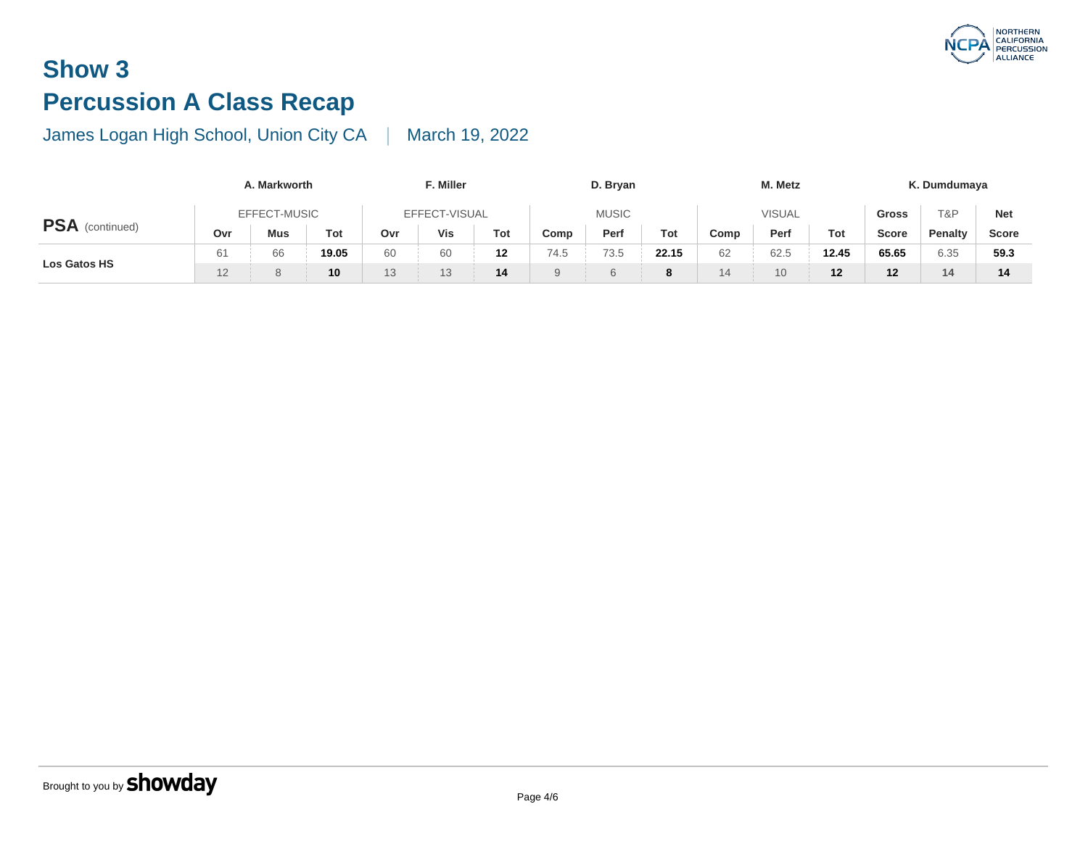# **Show 3 Percussion A Class Recap**

|                        | A. Markworth |     |                 |               | F. Miller |     |          | D. Bryan     | M. Metz       |      |      |           |  |
|------------------------|--------------|-----|-----------------|---------------|-----------|-----|----------|--------------|---------------|------|------|-----------|--|
|                        | EFFECT-MUSIC |     |                 | EFFECT-VISUAL |           |     |          | <b>MUSIC</b> | <b>VISUAL</b> |      |      |           |  |
| <b>PSA</b> (continued) | Ovr          | Mus | Tot             | Ovr           | Vis       | Tot | Comp     | Perf         | Tot           | Comp | Perf | <b>To</b> |  |
|                        | 61           | 66  | 19.05           | 60            | 60        | 12  | 74.5     | 73.5         | 22.15         | 62   | 62.5 | 12.4      |  |
| Los Gatos HS           | 12           | 8   | 10 <sup>°</sup> | 13            |           | 14  | $\Omega$ |              | 8             | 14   | 10   | 12        |  |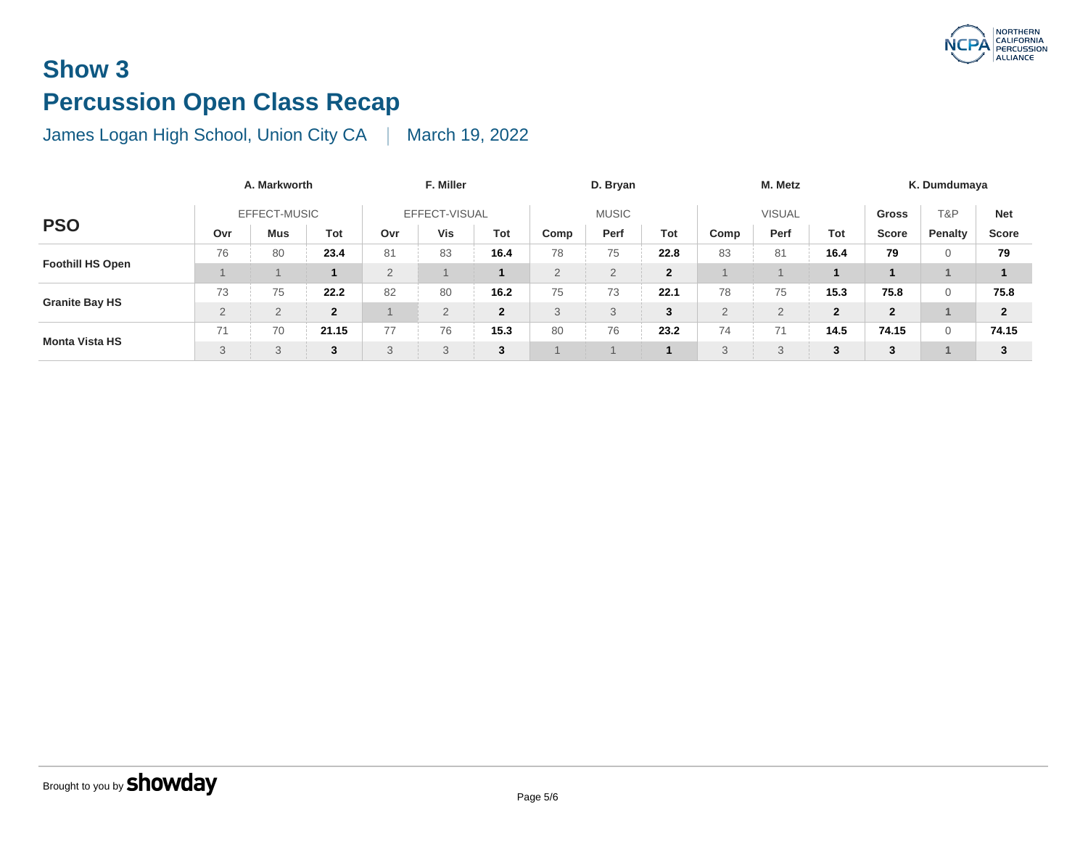# **Show 3 Percussion Open Class Recap**

|                         | A. Markworth   |                |              |                | F. Miller    |                |                | D. Bryan     | M. Metz        |                |                                                     |              |  |
|-------------------------|----------------|----------------|--------------|----------------|--------------|----------------|----------------|--------------|----------------|----------------|-----------------------------------------------------|--------------|--|
| <b>PSO</b>              | EFFECT-MUSIC   |                |              | EFFECT-VISUAL  |              |                |                | <b>MUSIC</b> | <b>VISUAL</b>  |                |                                                     |              |  |
|                         | Ovr            | <b>Mus</b>     | Tot          | Ovr            | Vis          | Tot            | Comp           | Perf         | Tot            | Comp           | Perf                                                | To           |  |
|                         | 76             | 80             | 23.4         | 81             | 83           | 16.4           | 78             | 75           | 22.8           | 83             | 81                                                  | 16.          |  |
| <b>Foothill HS Open</b> |                |                |              | $\overline{2}$ |              |                | $\overline{2}$ |              | $\overline{2}$ |                |                                                     |              |  |
|                         | 73             | 75             | 22.2         | 82             | 80           | 16.2           | 75             | 73           | 22.1           | 78             | 75                                                  | 15.          |  |
| <b>Granite Bay HS</b>   | $\overline{2}$ | $\overline{2}$ | $\mathbf{2}$ |                | $\Omega$     | $\overline{2}$ | 3              | $\mathbf{Q}$ | 3              | $\overline{2}$ | $\overline{2}$                                      | $\mathbf{2}$ |  |
|                         | 71             | 70             | 21.15        | 77             | 76           | 15.3           | 80             | 76           | 23.2           | 74             | 74<br>$\left( \begin{array}{c} \end{array} \right)$ | 14.          |  |
| <b>Monta Vista HS</b>   | 3              | 3              | 3            | 3              | $\circ$<br>J | 3              |                |              |                | 3              | 3                                                   | 3            |  |